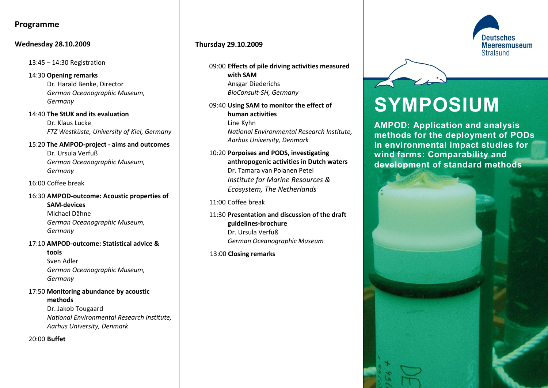# **Programme**

### **Wednesday 28.10.2009**

13:45 – 14:30 Registration

14:30 **Opening remarks** Dr. Harald Benke, Director *German Oceanographic Museum, Germany*

14:40 **The StUK and its evaluation** Dr. Klaus Lucke *FTZ Westküste, University of Kiel, Germany*

15:20 **The AMPOD-project - aims and outcomes** Dr. Ursula Verfuß *German Oceanographic Museum, Germany*

16:00 Coffee break

16:30 **AMPOD-outcome: Acoustic properties of SAM-devices** Michael Dähne *German Oceanographic Museum,* 

*Germany*

# 17:10 **AMPOD-outcome: Statistical advice & tools**

Sven Adler *German Oceanographic Museum, Germany*

17:50 **Monitoring abundance by acoustic methods** Dr. Jakob Tougaard *National Environmental Research Institute, Aarhus University, Denmark*

20:00 **Buffet**

## **Thursday 29.10.2009**

09:00 **Effects of pile driving activities measured with SAM** Ansgar Diederichs *BioConsult-SH, Germany*

09:40 **Using SAM to monitor the effect of human activities** Line Kyhn *National Environmental Research Institute, Aarhus University, Denmark*

10:20 **Porpoises and PODS, investigating anthropogenic activities in Dutch waters** Dr. Tamara van Polanen Petel *Institute for Marine Resources & Ecosystem, The Netherlands*

11:00 Coffee break

11:30 **Presentation and discussion of the draft guidelines-brochure** Dr. Ursula Verfuß *German Oceanographic Museum*

13:00 **Closing remarks**



# **SYMPOSIUM**

**AMPOD: Application and analysis methods for the deployment of PODs in environmental impact studies for wind farms: Comparability and development of standard methods**